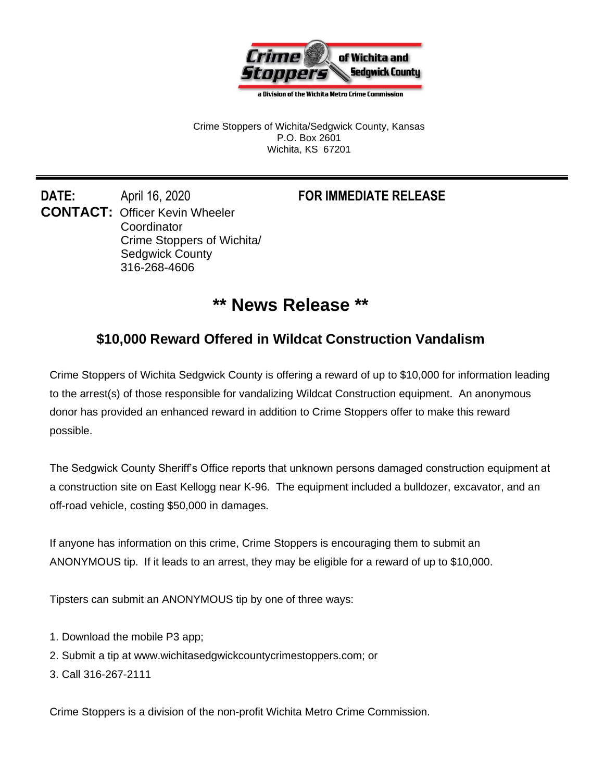

a Division of the Wichita Metro Crime Commission

Crime Stoppers of Wichita/Sedgwick County, Kansas P.O. Box 2601 Wichita, KS 67201

**DATE:** April 16, 2020 **FOR IMMEDIATE RELEASE CONTACT:** Officer Kevin Wheeler **Coordinator** Crime Stoppers of Wichita/ Sedgwick County 316-268-4606

## **\*\* News Release \*\***

## **\$10,000 Reward Offered in Wildcat Construction Vandalism**

Crime Stoppers of Wichita Sedgwick County is offering a reward of up to \$10,000 for information leading to the arrest(s) of those responsible for vandalizing Wildcat Construction equipment. An anonymous donor has provided an enhanced reward in addition to Crime Stoppers offer to make this reward possible.

The Sedgwick County Sheriff's Office reports that unknown persons damaged construction equipment at a construction site on East Kellogg near K-96. The equipment included a bulldozer, excavator, and an off-road vehicle, costing \$50,000 in damages.

If anyone has information on this crime, Crime Stoppers is encouraging them to submit an ANONYMOUS tip. If it leads to an arrest, they may be eligible for a reward of up to \$10,000.

Tipsters can submit an ANONYMOUS tip by one of three ways:

- 1. Download the mobile P3 app;
- 2. Submit a tip at www.wichitasedgwickcountycrimestoppers.com; or
- 3. Call 316-267-2111

Crime Stoppers is a division of the non-profit Wichita Metro Crime Commission.